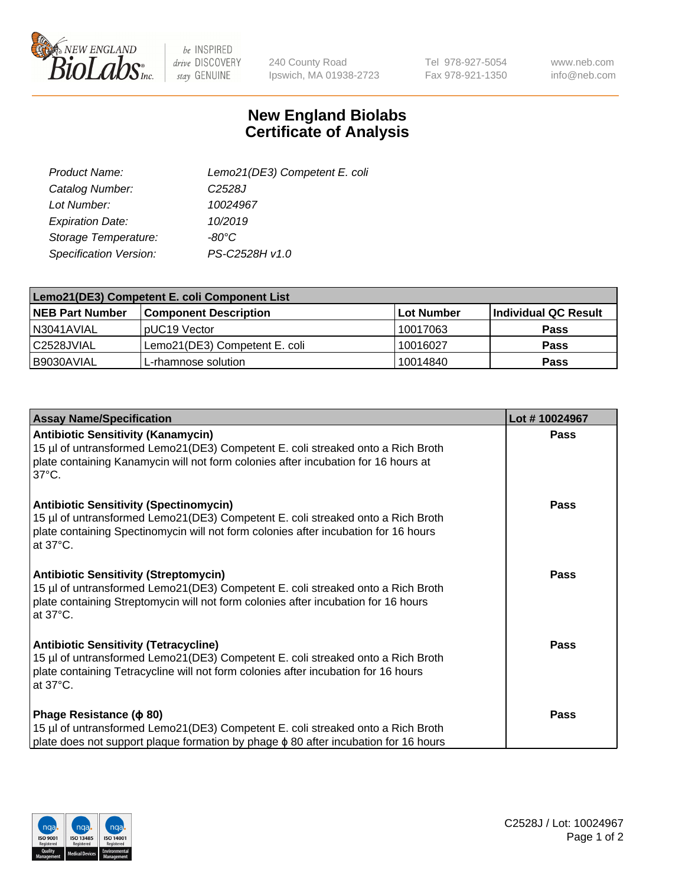

be INSPIRED drive DISCOVERY stay GENUINE

240 County Road Ipswich, MA 01938-2723 Tel 978-927-5054 Fax 978-921-1350

www.neb.com info@neb.com

## **New England Biolabs Certificate of Analysis**

| Lemo21(DE3) Competent E. coli |
|-------------------------------|
| C <sub>2528</sub> J           |
| 10024967                      |
| 10/2019                       |
| -80°C                         |
| PS-C2528H v1.0                |
|                               |

| Lemo21(DE3) Competent E. coli Component List |                               |            |                      |  |
|----------------------------------------------|-------------------------------|------------|----------------------|--|
| <b>NEB Part Number</b>                       | <b>Component Description</b>  | Lot Number | Individual QC Result |  |
| IN3041AVIAL                                  | IpUC19 Vector                 | 10017063   | <b>Pass</b>          |  |
| C2528JVIAL                                   | Lemo21(DE3) Competent E. coli | 10016027   | <b>Pass</b>          |  |
| B9030AVIAL                                   | L-rhamnose solution           | 10014840   | <b>Pass</b>          |  |

| <b>Assay Name/Specification</b>                                                                                                                                                                                                               | Lot #10024967 |
|-----------------------------------------------------------------------------------------------------------------------------------------------------------------------------------------------------------------------------------------------|---------------|
| <b>Antibiotic Sensitivity (Kanamycin)</b><br>15 µl of untransformed Lemo21(DE3) Competent E. coli streaked onto a Rich Broth<br>plate containing Kanamycin will not form colonies after incubation for 16 hours at<br>$37^{\circ}$ C.         | Pass          |
| <b>Antibiotic Sensitivity (Spectinomycin)</b><br>15 µl of untransformed Lemo21(DE3) Competent E. coli streaked onto a Rich Broth<br>plate containing Spectinomycin will not form colonies after incubation for 16 hours<br>at $37^{\circ}$ C. | Pass          |
| <b>Antibiotic Sensitivity (Streptomycin)</b><br>15 µl of untransformed Lemo21(DE3) Competent E. coli streaked onto a Rich Broth<br>plate containing Streptomycin will not form colonies after incubation for 16 hours<br>at $37^{\circ}$ C.   | <b>Pass</b>   |
| <b>Antibiotic Sensitivity (Tetracycline)</b><br>15 µl of untransformed Lemo21(DE3) Competent E. coli streaked onto a Rich Broth<br>plate containing Tetracycline will not form colonies after incubation for 16 hours<br>at 37°C.             | <b>Pass</b>   |
| Phage Resistance ( $\phi$ 80)<br>15 µl of untransformed Lemo21(DE3) Competent E. coli streaked onto a Rich Broth<br>plate does not support plaque formation by phage $\phi$ 80 after incubation for 16 hours                                  | <b>Pass</b>   |